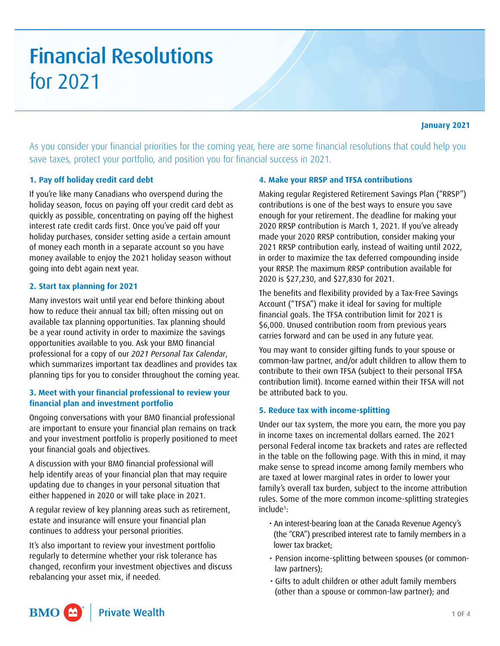# Financial Resolutions for 2021

As you consider your financial priorities for the coming year, here are some financial resolutions that could help you save taxes, protect your portfolio, and position you for financial success in 2021.

# **1. Pay off holiday credit card debt**

If you're like many Canadians who overspend during the holiday season, focus on paying off your credit card debt as quickly as possible, concentrating on paying off the highest interest rate credit cards first. Once you've paid off your holiday purchases, consider setting aside a certain amount of money each month in a separate account so you have money available to enjoy the 2021 holiday season without going into debt again next year.

## **2. Start tax planning for 2021**

Many investors wait until year end before thinking about how to reduce their annual tax bill; often missing out on available tax planning opportunities. Tax planning should be a year round activity in order to maximize the savings opportunities available to you. Ask your BMO financial professional for a copy of our *2021 Personal Tax Calendar*, which summarizes important tax deadlines and provides tax planning tips for you to consider throughout the coming year.

## **3. Meet with your financial professional to review your financial plan and investment portfolio**

Ongoing conversations with your BMO financial professional are important to ensure your financial plan remains on track and your investment portfolio is properly positioned to meet your financial goals and objectives.

A discussion with your BMO financial professional will help identify areas of your financial plan that may require updating due to changes in your personal situation that either happened in 2020 or will take place in 2021.

A regular review of key planning areas such as retirement, estate and insurance will ensure your financial plan continues to address your personal priorities.

It's also important to review your investment portfolio regularly to determine whether your risk tolerance has changed, reconfirm your investment objectives and discuss rebalancing your asset mix, if needed.

#### **4. Make your RRSP and TFSA contributions**

Making regular Registered Retirement Savings Plan ("RRSP") contributions is one of the best ways to ensure you save enough for your retirement. The deadline for making your 2020 RRSP contribution is March 1, 2021. If you've already made your 2020 RRSP contribution, consider making your 2021 RRSP contribution early, instead of waiting until 2022, in order to maximize the tax deferred compounding inside your RRSP. The maximum RRSP contribution available for 2020 is \$27,230, and \$27,830 for 2021.

The benefits and flexibility provided by a Tax-Free Savings Account ("TFSA") make it ideal for saving for multiple financial goals. The TFSA contribution limit for 2021 is \$6,000. Unused contribution room from previous years carries forward and can be used in any future year.

You may want to consider gifting funds to your spouse or common-law partner, and/or adult children to allow them to contribute to their own TFSA (subject to their personal TFSA contribution limit). Income earned within their TFSA will not be attributed back to you.

# **5. Reduce tax with income-splitting**

Under our tax system, the more you earn, the more you pay in income taxes on incremental dollars earned. The 2021 personal Federal income tax brackets and rates are reflected in the table on the following page. With this in mind, it may make sense to spread income among family members who are taxed at lower marginal rates in order to lower your family's overall tax burden, subject to the income attribution rules. Some of the more common income-splitting strategies include<sup>1</sup>:

- An interest-bearing loan at the Canada Revenue Agency's (the "CRA") prescribed interest rate to family members in a lower tax bracket;
- Pension income-splitting between spouses (or commonlaw partners);
- Gifts to adult children or other adult family members (other than a spouse or common-law partner); and

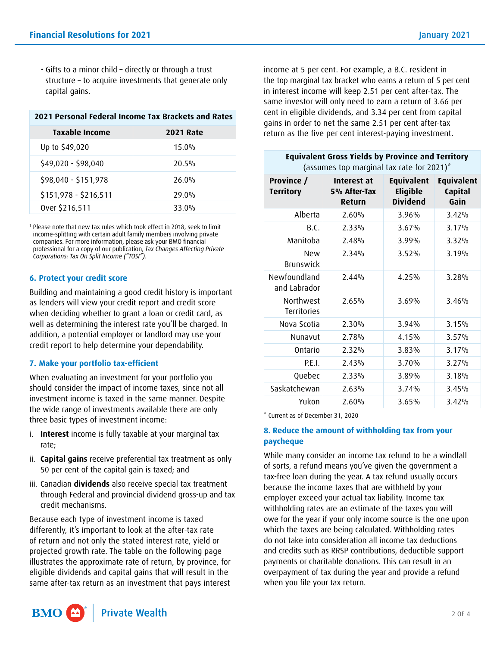• Gifts to a minor child – directly or through a trust structure – to acquire investments that generate only capital gains.

| 2021 Personal Federal Income Tax Brackets and Rates |                  |  |  |
|-----------------------------------------------------|------------------|--|--|
| Taxable Income                                      | <b>2021 Rate</b> |  |  |
| Up to \$49,020                                      | $15.0\%$         |  |  |
| \$49,020 - \$98,040                                 | 20.5%            |  |  |
| \$98,040 - \$151,978                                | 26.0%            |  |  |
| \$151,978 - \$216,511                               | 29.0%            |  |  |
| Over \$216,511                                      | 33.0%            |  |  |

1 Please note that new tax rules which took effect in 2018, seek to limit income-splitting with certain adult family members involving private companies. For more information, please ask your BMO financial professional for a copy of our publication, *Tax Changes Affecting Private Corporations: Tax On Split Income ("TOSI").* 

## **6. Protect your credit score**

Building and maintaining a good credit history is important as lenders will view your credit report and credit score when deciding whether to grant a loan or credit card, as well as determining the interest rate you'll be charged. In addition, a potential employer or landlord may use your credit report to help determine your dependability.

# **7. Make your portfolio tax-efficient**

When evaluating an investment for your portfolio you should consider the impact of income taxes, since not all investment income is taxed in the same manner. Despite the wide range of investments available there are only three basic types of investment income:

- i. **Interest** income is fully taxable at your marginal tax rate;
- ii. **Capital gains** receive preferential tax treatment as only 50 per cent of the capital gain is taxed; and
- iii. Canadian **dividends** also receive special tax treatment through Federal and provincial dividend gross-up and tax credit mechanisms.

Because each type of investment income is taxed differently, it's important to look at the after-tax rate of return and not only the stated interest rate, yield or projected growth rate. The table on the following page illustrates the approximate rate of return, by province, for eligible dividends and capital gains that will result in the same after-tax return as an investment that pays interest income at 5 per cent. For example, a B.C. resident in the top marginal tax bracket who earns a return of 5 per cent in interest income will keep 2.51 per cent after-tax. The same investor will only need to earn a return of 3.66 per cent in eligible dividends, and 3.34 per cent from capital gains in order to net the same 2.51 per cent after-tax return as the five per cent interest-paying investment.

## **Equivalent Gross Yields by Province and Territory**

```
(assumes top marginal tax rate for 2021)*
```

| Province /<br><b>Territory</b>  | Interest at<br>5% After-Tax<br>Return | <b>Equivalent</b><br><b>Eligible</b><br><b>Dividend</b> | <b>Equivalent</b><br><b>Capital</b><br>Gain |
|---------------------------------|---------------------------------------|---------------------------------------------------------|---------------------------------------------|
| Alberta                         | 2.60%                                 | $3.96\%$                                                | 3.42%                                       |
| B.C.                            | 2.33%                                 | 3.67%                                                   | 3.17%                                       |
| Manitoba                        | 2.48%                                 | $3.99\%$                                                | 3.32%                                       |
| <b>New</b><br>Brunswick         | 2.34%                                 | 3.52%                                                   | 3.19%                                       |
| Newfoundland<br>and Labrador    | 2.44%                                 | 4.25%                                                   | 3.28%                                       |
| Northwest<br><b>Territories</b> | 2.65%                                 | 3.69%                                                   | 3.46%                                       |
| Nova Scotia                     | 2.30%                                 | 3.94%                                                   | 3.15%                                       |
| Nunavut                         | 2.78%                                 | 4.15%                                                   | 3.57%                                       |
| Ontario                         | 2.32%                                 | 3.83%                                                   | 3.17%                                       |
| P.F.I.                          | 2.43%                                 | 3.70%                                                   | 3.27%                                       |
| Quebec                          | 2.33%                                 | 3.89%                                                   | 3.18%                                       |
| Saskatchewan                    | 2.63%                                 | 3.74%                                                   | 3.45%                                       |
| Yukon                           | 2.60%                                 | $3.65\%$                                                | 3.42%                                       |

\* Current as of December 31, 2020

# **8. Reduce the amount of withholding tax from your paycheque**

While many consider an income tax refund to be a windfall of sorts, a refund means you've given the government a tax-free loan during the year. A tax refund usually occurs because the income taxes that are withheld by your employer exceed your actual tax liability. Income tax withholding rates are an estimate of the taxes you will owe for the year if your only income source is the one upon which the taxes are being calculated. Withholding rates do not take into consideration all income tax deductions and credits such as RRSP contributions, deductible support payments or charitable donations. This can result in an overpayment of tax during the year and provide a refund when you file your tax return.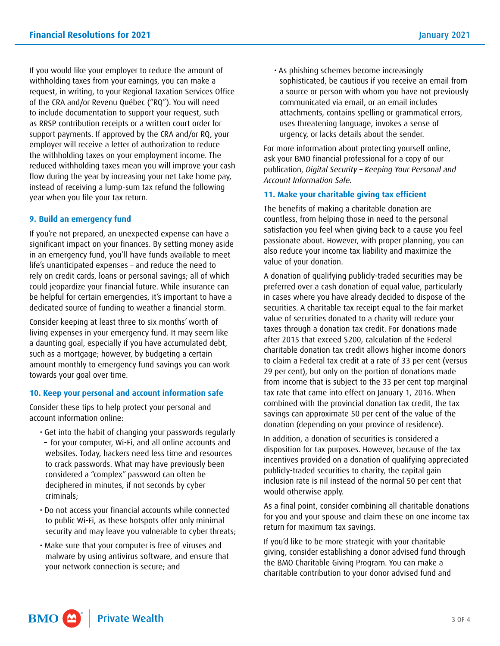If you would like your employer to reduce the amount of withholding taxes from your earnings, you can make a request, in writing, to your Regional Taxation Services Office of the CRA and/or Revenu Québec ("RQ"). You will need to include documentation to support your request, such as RRSP contribution receipts or a written court order for support payments. If approved by the CRA and/or RQ, your employer will receive a letter of authorization to reduce the withholding taxes on your employment income. The reduced withholding taxes mean you will improve your cash flow during the year by increasing your net take home pay, instead of receiving a lump-sum tax refund the following year when you file your tax return.

#### **9. Build an emergency fund**

If you're not prepared, an unexpected expense can have a significant impact on your finances. By setting money aside in an emergency fund, you'll have funds available to meet life's unanticipated expenses – and reduce the need to rely on credit cards, loans or personal savings; all of which could jeopardize your financial future. While insurance can be helpful for certain emergencies, it's important to have a dedicated source of funding to weather a financial storm.

Consider keeping at least three to six months' worth of living expenses in your emergency fund. It may seem like a daunting goal, especially if you have accumulated debt, such as a mortgage; however, by budgeting a certain amount monthly to emergency fund savings you can work towards your goal over time.

# **10. Keep your personal and account information safe**

Consider these tips to help protect your personal and account information online:

- Get into the habit of changing your passwords regularly
- for your computer, Wi-Fi, and all online accounts and websites. Today, hackers need less time and resources to crack passwords. What may have previously been considered a "complex" password can often be deciphered in minutes, if not seconds by cyber criminals;
- Do not access your financial accounts while connected to public Wi-Fi, as these hotspots offer only minimal security and may leave you vulnerable to cyber threats;
- Make sure that your computer is free of viruses and malware by using antivirus software, and ensure that your network connection is secure; and

**Private Wealth** 

BMO<sup>4</sup>

• As phishing schemes become increasingly sophisticated, be cautious if you receive an email from a source or person with whom you have not previously communicated via email, or an email includes attachments, contains spelling or grammatical errors, uses threatening language, invokes a sense of urgency, or lacks details about the sender.

For more information about protecting yourself online, ask your BMO financial professional for a copy of our publication, *Digital Security – Keeping Your Personal and Account Information Safe.* 

#### **11. Make your charitable giving tax efficient**

The benefits of making a charitable donation are countless, from helping those in need to the personal satisfaction you feel when giving back to a cause you feel passionate about. However, with proper planning, you can also reduce your income tax liability and maximize the value of your donation.

A donation of qualifying publicly-traded securities may be preferred over a cash donation of equal value, particularly in cases where you have already decided to dispose of the securities. A charitable tax receipt equal to the fair market value of securities donated to a charity will reduce your taxes through a donation tax credit. For donations made after 2015 that exceed \$200, calculation of the Federal charitable donation tax credit allows higher income donors to claim a Federal tax credit at a rate of 33 per cent (versus 29 per cent), but only on the portion of donations made from income that is subject to the 33 per cent top marginal tax rate that came into effect on January 1, 2016. When combined with the provincial donation tax credit, the tax savings can approximate 50 per cent of the value of the donation (depending on your province of residence).

In addition, a donation of securities is considered a disposition for tax purposes. However, because of the tax incentives provided on a donation of qualifying appreciated publicly-traded securities to charity, the capital gain inclusion rate is nil instead of the normal 50 per cent that would otherwise apply.

As a final point, consider combining all charitable donations for you and your spouse and claim these on one income tax return for maximum tax savings.

If you'd like to be more strategic with your charitable giving, consider establishing a donor advised fund through the BMO Charitable Giving Program. You can make a charitable contribution to your donor advised fund and

3 OF 4